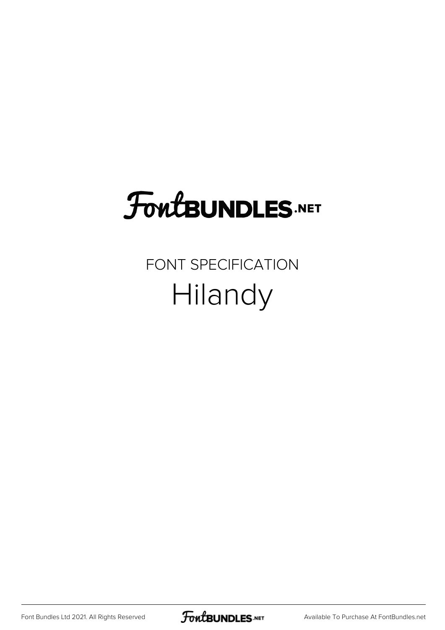## FoutBUNDLES.NET

## FONT SPECIFICATION Hilandy

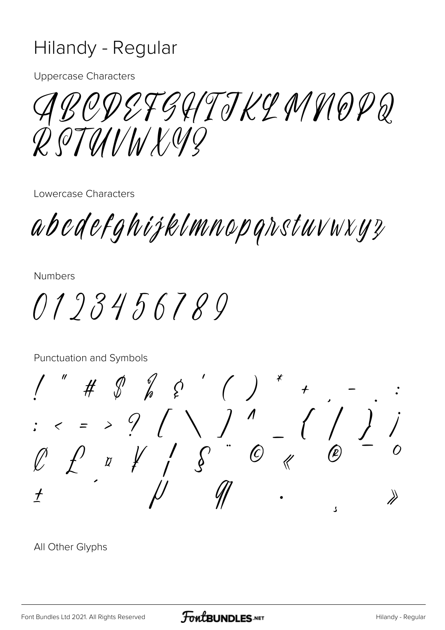## Hilandy - Regular

**Uppercase Characters** 

ABODEFGHTJKLMNOPQ  $Q$  OTUNNANG

Lowercase Characters

abedefghijklmnopgrstuvwxyz

**Numbers** 

0193456789

Punctuation and Symbols

ړ

All Other Glyphs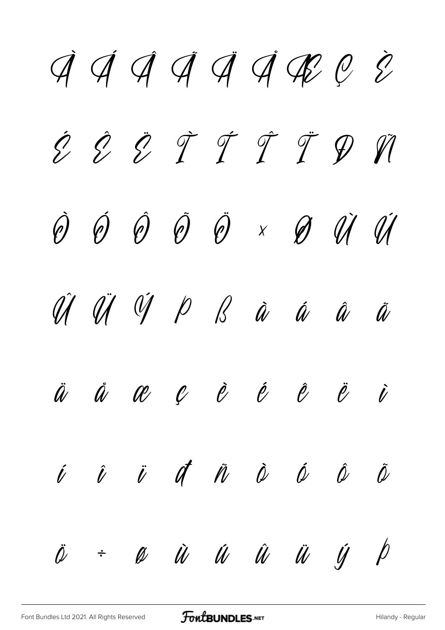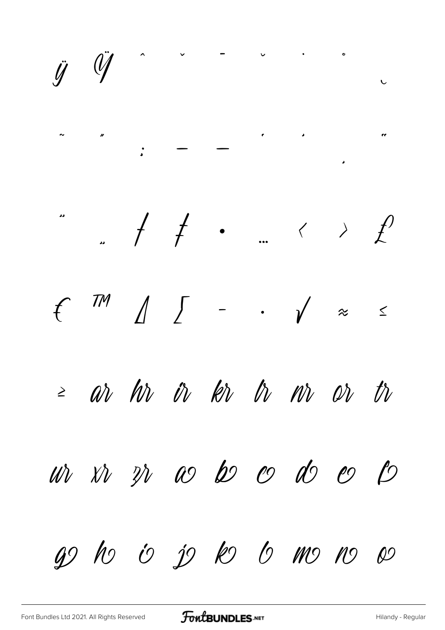$\ddot{y}$  $\bullet$  $\ddot{y}$  $\ddot{\phantom{0}}$  $\epsilon$  and  $\epsilon$  $\overline{\mathbf{r}}$  $\ddot{\cdot}$ J)  $\int$  $f^{m}$  $\overline{\phantom{a}}$  $\begin{array}{c} \mathcal{L} \end{array}$  $\cdot$   $\sqrt{2}$  $\leq$ ar hr ir kr tr nr or  $t\hbar$  $\geq$  $\overline{\mathcal{D}}$ wh xh zh as be code  $\omega$ go ho io jo ko lo mo no so